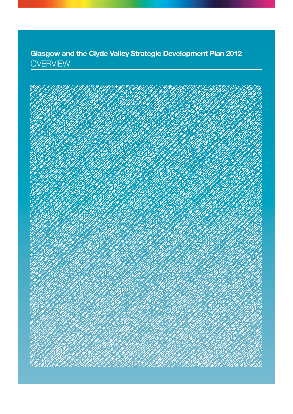**Glasgow and the Clyde Valley Strategic Development Plan 2012**<br>
OVERVIEW

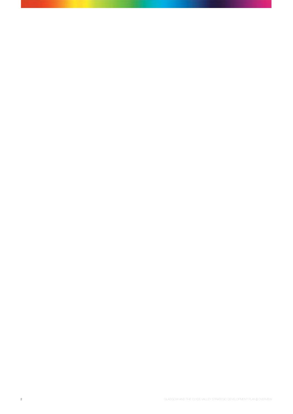GLASGOW AND THE CLYDE VALLEY STRATEGIC DEVELOPMENT PLAN | OVERVIEW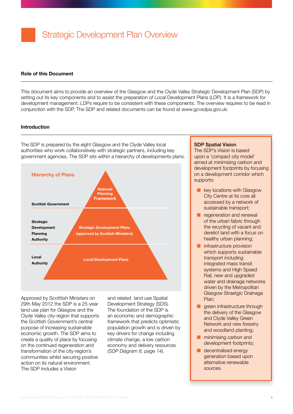# **Role of this Document**

This document aims to provide an overview of the Glasgow and the Clyde Valley Strategic Development Plan (SDP) by setting out its key components and to assist the preparation of Local Development Plans (LDP). It is a framework for development management. LDPs require to be consistent with these components. The overview requires to be read in conjunction with the SDP. The SDP and related documents can be found at www.gcvsdpa.gov.uk.

#### **Introduction**

The SDP is prepared by the eight Glasgow and the Clyde Valley local authorities who work collaboratively with strategic partners, including key government agencies. The SDP sits within a hierarchy of developments plans.



Approved by Scotttish Ministers on 29th May 2012 the SDP is a 25-year land use plan for Glasgow and the Clyde Valley city-region that supports the Scottish Government's central purpose of increasing sustainable economic growth. The SDP aims to create a quality of place by focusing on the continued regeneration and transformation of the city-region's communities whilst securing positive action on its natural environment. The SDP includes a Vision

and related land use Spatial Development Strategy (SDS). The foundation of the SDP is an economic and demographic framework that predicts optimistic population growth and is driven by key drivers for change including climate change, a low carbon economy and delivery resources *(SDP Diagram 8, page 14).*

#### SDP Spatial Vision

The SDP's Vision is based upon a 'compact city model' aimed at minimising carbon and development footprints by focusing on a development corridor which supports:

- key locations with Glasgow City Centre at its core all accessed by a network of sustainable transport;
- **■** regeneration and renewal of the urban fabric through the recycling of vacant and derelict land with a focus on healthy urban planning;
- **■** infrastructure provision which supports sustainable transport including integrated mass transit systems and High Speed Rail, new and upgraded water and drainage networks driven by the Metropolitan Glasgow Straetgic Drainage Plan;
- green infrastructure through the delivery of the Glasgow and Clyde Valley Green Network and new forestry and woodland planting;
- minimising carbon and development footprints;
- decentralised energy generation based upon alternative renewable sources.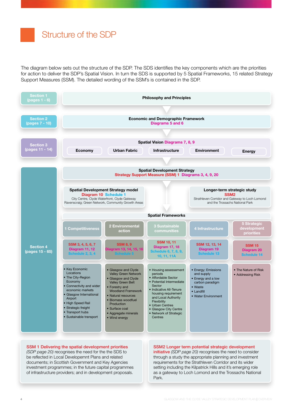The diagram below sets out the structure of the SDP. The SDS identifies the key components which are the priorities for action to deliver the SDP's Spatial Vision. In turn the SDS is supported by 5 Spatial Frameworks, 15 related Strategy Support Measures (SSM). The detailed wording of the SSM's is contained in the SDP.



# SSM 1 Delivering the spatial development priorities

*(SDP page 20)* recognises the need for the the SDS to be reflected in Local Developemnt Plans and related documents; in Scottish Government and Key Agencies investment programmes; in the future capital programmes of infrastructure providers; and in development proposals.

# SSM2 Longer term potential strategic development

initiative *(SDP page 20)* recognises the need to consider through a study the appropriate planning and investment requirements for the Strathleven Corridor and its wider setting including the Kilpatrick Hills and it's emerging role as a gateway to Loch Lomond and the Trossachs National Park.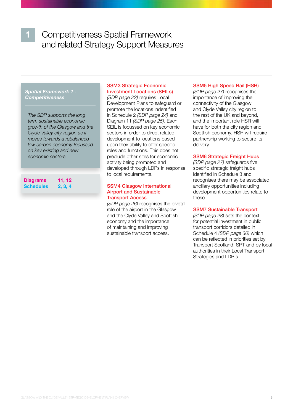Competitiveness Spatial Framework and related Strategy Support Measures

#### *Spatial Framework 1 - Competitiveness*

*The SDP supports the long term sustainable economic growth of the Glasgow and the Clyde Valley city-region as it moves towards a rebalanced low carbon economy focussed on key existing and new economic sectors.* 

 **Diagrams 11, 12 Schedules 2, 3, 4**

# SSM3 Strategic Economic Investment Locations (SEILs)

*(SDP page 22)* requires Local Development Plans to safeguard or promote the locations indentified in Schedule 2 *(SDP page 24)* and Diagram 11 *(SDP page 25)*. Each SEIL is focussed on key economic sectors in order to direct related development to locations based upon their ability to offer specific roles and functions. This does not preclude other sites for economic activity being promoted and developed through LDPs in response to local requirements.

#### SSM4 Glasgow International Airport and Sustainable Transport Access

*(SDP page 26)* recognises the pivotal role of the airport in the Glasgow and the Clyde Valley and Scottish economy and the importance of maintaining and improving sustainable transport access.

#### SSM5 High Speed Rail (HSR)

*(SDP page 27)* recognises the importance of improving the connectivity of the Glasgow and Clyde Valley city region to the rest of the UK and beyond, and the important role HSR will have for both the city region and Scottish economy. HSR will require partnership working to secure its delivery.

#### SSM6 Strategic Freight Hubs

*(SDP page 27)* safeguards five specific strategic freight hubs identified in Schedule 3 and recognises there may be associated ancillary opportunities including development opportunities relate to these.

#### SSM7 Sustainable Transport

*(SDP page 28)* sets the context for potential investment in public transport corridors detailed in Schedule 4 *(SDP page 30)* which can be reflected in priorities set by Transport Scotland, SPT and by local authorities in their Local Transport Strategies and LDP's.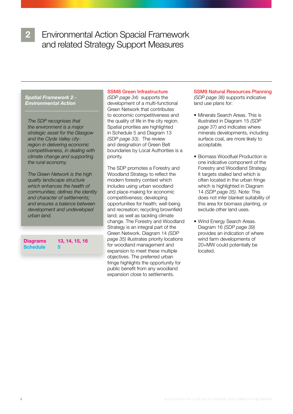Environmental Action Spacial Framework and related Strategy Support Measures

*Spatial Framework 2 - Environmental Action*

*The SDP recognises that the environment is a major strategic asset for the Glasgow and the Clyde Valley cityregion in delivering economic competitiveness, in dealing with climate change and supporting the rural economy.*

 *The Green Network is the high quality landscape structure which enhances the health of communities; defines the identity and character of settlements; and ensures a balance between development and undeveloped urban land.*

 **Schedule 5**

 **Diagrams 13, 14, 15, 16**

#### SSM8 Green Infrastructure

*(SDP page 34)* supports the development of a multi-functional Green Network that contributes to economic competitiveness and the quality of life in the city region. Spatial priorities are highlighted in Schedule 5 and Diagram 13 *(SDP page 33)*. The review and designation of Green Belt boundaries by Local Authorities is a priority.

The SDP promotes a Forestry and Woodland Strategy to reflect the modern forestry context which includes using urban woodland and place-making for economic competitiveness; developing opportunities for health; well-being and recreation; recycling brownfield land; as well as tackling climate change. The Forestry and Woodland Strategy is an integral part of the Green Network. Diagram 14 *(SDP page 35)* illustrates priority locations for woodland management and expansion to meet these multiple objectives. The preferred urban fringe highlights the opportunity for public benefit from any woodland expansion close to settlements.

#### SSM9 Natural Resources Planning

*(SDP page 38)* supports indicative land use plans for:

- Minerals Search Areas. This is illustrated in Diagram 15 *(SDP page 37)* and indicates where minerals developments, including surface coal, are more likely to acceptable.
- Biomass Woodfuel Production is one indicative component of the Forestry and Woodland Strategy. It targets stalled land which is often located in the urban fringe which is highlighted in Diagram 14 *(SDP page 35)*. Note: This does not infer blanket suitability of this area for biomass planting, or exclude other land uses.
- Wind Energy Search Areas. Diagram 16 *(SDP page 39)*  provides an indication of where wind farm developments of 20+MW could potentially be located.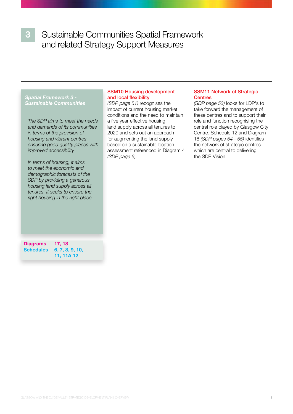Sustainable Communities Spatial Framework and related Strategy Support Measures

# *Spatial Framework 3 - Sustainable Communities*

*The SDP aims to meet the needs and demands of its communities in terms of the provision of housing and vibrant centres ensuring good quality places with improved accessibility.* 

*In terms of housing, it aims to meet the economic and demographic forecasts of the SDP by providing a generous housing land supply across all tenures. It seeks to ensure the right housing in the right place.* 

#### SSM10 Housing development and local flexibility

*(SDP page 51)* recognises the impact of current housing market conditions and the need to maintain a five year effective housing land supply across all tenures to 2020 and sets out an approach for augmenting the land supply based on a sustainable location assessment referenced in Diagram 4 *(SDP page 6).*

#### SSM11 Network of Strategic **Centres**

*(SDP page 53)* looks for LDP's to take forward the management of these centres and to support their role and function recognising the central role played by Glasgow City Centre. Schedule 12 and Diagram 18 *(SDP pages 54 - 55)* identifies the network of strategic centres which are central to delivering the SDP Vision.

 **Diagrams 17, 18 Schedules 6, 7, 8, 9, 10,** 

**11, 11A 12**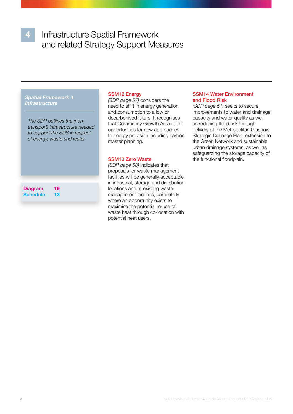# Infrastructure Spatial Framework and related Strategy Support Measures

### *Spatial Framework 4 Infrastructure*

*The SDP outlines the (nontransport) infrastructure needed to support the SDS in respect of energy, waste and water.*

| 19 |
|----|
| 13 |
|    |

# SSM12 Energy

*(SDP page 57)* considers the need to shift in energy generation and consumption to a low or decarbonised future. It recognises that Community Growth Areas offer opportunities for new approaches to energy provision including carbon master planning.

#### SSM13 Zero Waste

*(SDP page 58)* indicates that proposals for waste management facilities will be generally acceptable in industrial, storage and distribution locations and at existing waste management facilities, particularly where an opportunity exists to maximise the potential re-use of waste heat through co-location with potential heat users.

### SSM14 Water Environment and Flood Risk

*(SDP page 61)* seeks to secure improvements to water and drainage capacity and water quality as well as reducing flood risk through delivery of the Metropolitan Glasgow Strategic Drainage Plan, extension to the Green Network and sustainable urban drainage systems, as well as safeguarding the storage capacity of the functional floodplain.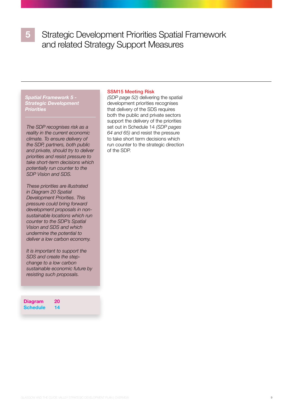Strategic Development Priorities Spatial Framework and related Strategy Support Measures

*Spatial Framework 5 - Strategic Development Priorities*

*The SDP recognises risk as a reality in the current economic climate. To ensure delivery of the SDP, partners, both public and private, should try to deliver priorities and resist pressure to take short-term decisions which potentially run counter to the SDP Vision and SDS.* 

*These priorities are illustrated in Diagram 20 Spatial Development Priorities. This pressure could bring forward development proposals in nonsustainable locations which run counter to the SDP's Spatial Vision and SDS and which undermine the potential to deliver a low carbon economy.* 

*It is important to support the SDS and create the stepchange to a low carbon sustainable economic future by resisting such proposals.* 

#### SSM15 Meeting Risk

*(SDP page 52)* delivering the spatial development priorities recognises that delivery of the SDS requires both the public and private sectors support the delivery of the priorities set out in Schedule 14 *(SDP pages 64 and 65)* and resist the pressure to take short term decisions which run counter to the strategic direction of the SDP.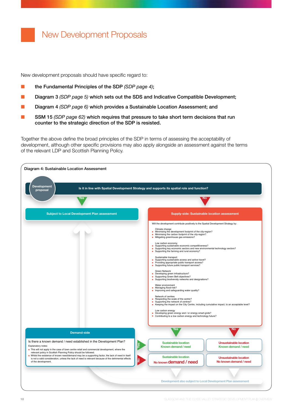# New Development Proposals

New development proposals should have specific regard to:

- the Fundamental Principles of the SDP *(SDP page 4)*;
- Diagram 3 *(SDP page 5)* which sets out the SDS and Indicative Compatible Development;
- Diagram 4 *(SDP page 6)* which provides a Sustainable Location Assessment; and
- SSM 15 *(SDP page 62)* which requires that pressure to take short term decisions that run counter to the strategic direction of the SDP is resisted.

Together the above define the broad principles of the SDP in terms of assessing the acceptability of development, although other specific provisions may also apply alongside an assessment against the terms of the relevant LDP and Scottish Planning Policy.

| Diagram 4: Sustainable Location Assessment                                                                                                                                                                                                                          |                                                                                                                                                                                                                                                                                                                                                                                                                                                                                                                                                                                                                                                                      |                                                         |
|---------------------------------------------------------------------------------------------------------------------------------------------------------------------------------------------------------------------------------------------------------------------|----------------------------------------------------------------------------------------------------------------------------------------------------------------------------------------------------------------------------------------------------------------------------------------------------------------------------------------------------------------------------------------------------------------------------------------------------------------------------------------------------------------------------------------------------------------------------------------------------------------------------------------------------------------------|---------------------------------------------------------|
| <b>Development</b><br>Is it in line with Spatial Development Strategy and supports its spatial role and function?<br>proposal                                                                                                                                       |                                                                                                                                                                                                                                                                                                                                                                                                                                                                                                                                                                                                                                                                      |                                                         |
| Yes                                                                                                                                                                                                                                                                 |                                                                                                                                                                                                                                                                                                                                                                                                                                                                                                                                                                                                                                                                      |                                                         |
| <b>Subject to Local Development Plan assessment</b>                                                                                                                                                                                                                 | Supply-side: Sustainable location assessment                                                                                                                                                                                                                                                                                                                                                                                                                                                                                                                                                                                                                         |                                                         |
|                                                                                                                                                                                                                                                                     | Will the development contribute positively to the Spatial Development Strategy by:<br>Climate change<br>. Minimising the development footprint of the city-region?<br>. Minimising the carbon footprint of the city-region?<br>• Mitigating greenhouse gas emissions?<br>Low carbon economy<br>• Supporting sustainable economic competitiveness?<br>• Supporting key economic sectors and new environmental technology sectors?<br>• Supporting the farming and rural economy?<br>Sustainable transport<br>• Supporting sustainable access and active travel?<br>• Providing appropriate public transport access?<br>• Supporting future public transport services? |                                                         |
|                                                                                                                                                                                                                                                                     | Green Network<br>• Developing green infrastructure?<br>· Supporting Green Belt objectives?<br>• Supporting biodiversity networks and designations?<br>Water environment<br>• Managing flood-risk?<br>• Improving and safeguarding water quality?<br>Network of centres<br>• Respecting the scale of the centre?<br>• Supporting the network of centres?<br>• Keeping the impact on the City Centre, including cumulative impact, to an acceptable level?<br>Low carbon energy                                                                                                                                                                                        |                                                         |
|                                                                                                                                                                                                                                                                     | • Developing green energy and / or energy smart-grids?<br>• Contributing to a low carbon energy and technology future?<br>Yes                                                                                                                                                                                                                                                                                                                                                                                                                                                                                                                                        | No                                                      |
| <b>Demand-side</b>                                                                                                                                                                                                                                                  |                                                                                                                                                                                                                                                                                                                                                                                                                                                                                                                                                                                                                                                                      |                                                         |
| Is there a known demand / need established in the Development Plan?<br>es<br>Explanatory notes:<br>. This will not apply in the case of town centre retail and commercial development, where the<br>relevant policy in Scottish Planning Policy should be followed. | <b>Sustainable location</b><br>Known demand / need                                                                                                                                                                                                                                                                                                                                                                                                                                                                                                                                                                                                                   | <b>Unsustainable location</b><br>Known demand / need    |
| . Whilst the existence of known need/demand may be a supporting factor, the lack of need in itself<br>is not a valid consideration, unless the lack of need is relevant because of the detrimental effects<br>k<br>of the development.                              | <b>Sustainable location</b><br>No known demand / need                                                                                                                                                                                                                                                                                                                                                                                                                                                                                                                                                                                                                | <b>Unsustainable location</b><br>No known demand / need |
|                                                                                                                                                                                                                                                                     |                                                                                                                                                                                                                                                                                                                                                                                                                                                                                                                                                                                                                                                                      |                                                         |
|                                                                                                                                                                                                                                                                     | Development also subject to Local Development Plan assessment                                                                                                                                                                                                                                                                                                                                                                                                                                                                                                                                                                                                        |                                                         |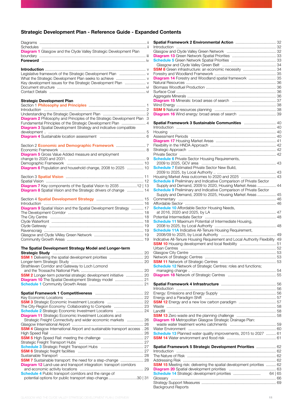### **Strategic Development Plan - Reference Guide - Expanded Contents**

| <b>Diagram 1</b> Glasgow and the Clyde Valley Strategic Development Plan |  |
|--------------------------------------------------------------------------|--|
|                                                                          |  |
|                                                                          |  |
|                                                                          |  |

#### **Introduction** ............................................................................................ v Legislative framework of the Strategic Development Plan ........................ v What the Strategic Development Plan seeks to achieve ........................... v Key development issues for the Strategic Development Plan ..................... v Document structure ................................................................................. vi Contact Details ........................................................................................ vi

#### **Strategic Development Plan**

| <b>Diagram 2</b> Philosophy and Principles of the Strategic Development Plan 3 |  |
|--------------------------------------------------------------------------------|--|
|                                                                                |  |
| <b>Diagram 3</b> Spatial Development Strategy and indicative compatible        |  |
|                                                                                |  |
|                                                                                |  |
|                                                                                |  |

| <b>Diagram 5</b> Gross Value Added measure and employment                                                                                                                                                                                                                                                        |  |
|------------------------------------------------------------------------------------------------------------------------------------------------------------------------------------------------------------------------------------------------------------------------------------------------------------------|--|
|                                                                                                                                                                                                                                                                                                                  |  |
| <b>Diagram 6</b> Population and household change, 2008 to 2025  10                                                                                                                                                                                                                                               |  |
|                                                                                                                                                                                                                                                                                                                  |  |
| Diagram 7 Key components of the Spatial Vision to 2035 12   13<br><b>Diagram 8</b> Spatial Vision and the Strategic drivers of change  14                                                                                                                                                                        |  |
| $\Omega$ and $\Omega$ and $\Omega$ and $\Omega$ and $\Omega$ are all $\Omega$ and $\Omega$ are all $\Omega$ and $\Omega$ are all $\Omega$ and $\Omega$ are all $\Omega$ and $\Omega$ are all $\Omega$ and $\Omega$ are all $\Omega$ and $\Omega$ are all $\Omega$ and $\Omega$ are all $\Omega$ and $\Omega$ are |  |

| Diagram 9 Spatial Vision and the Spatial Development Strategy  17 |  |
|-------------------------------------------------------------------|--|
|                                                                   |  |
|                                                                   |  |
|                                                                   |  |
|                                                                   |  |
|                                                                   |  |
|                                                                   |  |
|                                                                   |  |
|                                                                   |  |

# **The Spatial Development Strategy Model and Longer-term**

| Strathleven Corridor and Gateway to Loch Lomond                         |  |
|-------------------------------------------------------------------------|--|
|                                                                         |  |
| <b>SSM 2</b> Longer-term potential strategic development initiative  20 |  |
|                                                                         |  |
|                                                                         |  |
|                                                                         |  |
|                                                                         |  |

| <b>Diagram 11</b> Strategic Economic Investment Locations and                    |       |
|----------------------------------------------------------------------------------|-------|
| Strategic Freight Connectivity and wider economic markets  26                    |       |
|                                                                                  |       |
| <b>SSM 4</b> Glasgow International Airport and sustainable transport access . 26 |       |
|                                                                                  |       |
|                                                                                  |       |
|                                                                                  |       |
|                                                                                  |       |
|                                                                                  |       |
|                                                                                  |       |
|                                                                                  |       |
| <b>Diagram 12</b> Land-use and transport integration: transport corridors        |       |
|                                                                                  |       |
| <b>Schedule 4</b> Public transport corridors and the range of                    |       |
|                                                                                  | ----- |

| potential options for public transport step-change30   31 |  |  |
|-----------------------------------------------------------|--|--|

| SSM 8 Green infrastructure: an economic necessity  34                         |  |
|-------------------------------------------------------------------------------|--|
|                                                                               |  |
| Diagram 14 Forestry and Woodland spatial framework  35                        |  |
|                                                                               |  |
|                                                                               |  |
|                                                                               |  |
|                                                                               |  |
|                                                                               |  |
|                                                                               |  |
|                                                                               |  |
|                                                                               |  |
| Spatial Framework 3 Sustainable Communities  40                               |  |
|                                                                               |  |
|                                                                               |  |
|                                                                               |  |
|                                                                               |  |
|                                                                               |  |
|                                                                               |  |
|                                                                               |  |
| <b>Schedule 6 Private Sector Housing Requirements,</b>                        |  |
|                                                                               |  |
| <b>Schedule 7</b> Estimated Private Sector New Build,                         |  |
|                                                                               |  |
| <b>Schedule 8 Preliminary and Indicative Comparison of Private Sector</b>     |  |
| Supply and Demand, 2009 to 2020, Housing Market Areas  44                     |  |
| <b>Schedule 9</b> Preliminary and Indicative Comparison of Private Sector     |  |
| Supply and Demand, 2009 to 2025, Housing Market Areas  45                     |  |
|                                                                               |  |
|                                                                               |  |
| <b>Schedule 10</b> Affordable Sector Housing Needs,                           |  |
|                                                                               |  |
|                                                                               |  |
| <b>Schedule 11 Maximum Potential of Intermediate Housing,</b>                 |  |
|                                                                               |  |
| <b>Schedule 11A</b> Indicative All-Tenure Housing Requirement,                |  |
| Indicative All-Tenure Housing Requirement and Local Authority Flexibility 49  |  |
|                                                                               |  |
|                                                                               |  |
|                                                                               |  |
|                                                                               |  |
|                                                                               |  |
| <b>Schedule 12 Network of Strategic Centres: roles and functions;</b>         |  |
|                                                                               |  |
|                                                                               |  |
|                                                                               |  |
|                                                                               |  |
|                                                                               |  |
|                                                                               |  |
|                                                                               |  |
|                                                                               |  |
|                                                                               |  |
|                                                                               |  |
|                                                                               |  |
|                                                                               |  |
| <b>Diagram 19 Metropolitan Glasgow Strategic Drainage Plan:</b>               |  |
|                                                                               |  |
| Schedule 13 Planned water quality improvements, 2015 to 2027  61              |  |
|                                                                               |  |
|                                                                               |  |
| Spatial Framework 5 Strategic Development Priorities  62                      |  |
|                                                                               |  |
|                                                                               |  |
|                                                                               |  |
| <b>SSM 15</b> Meeting risk: delivering the spatial development priorities  62 |  |
| 64   65                                                                       |  |
|                                                                               |  |
|                                                                               |  |